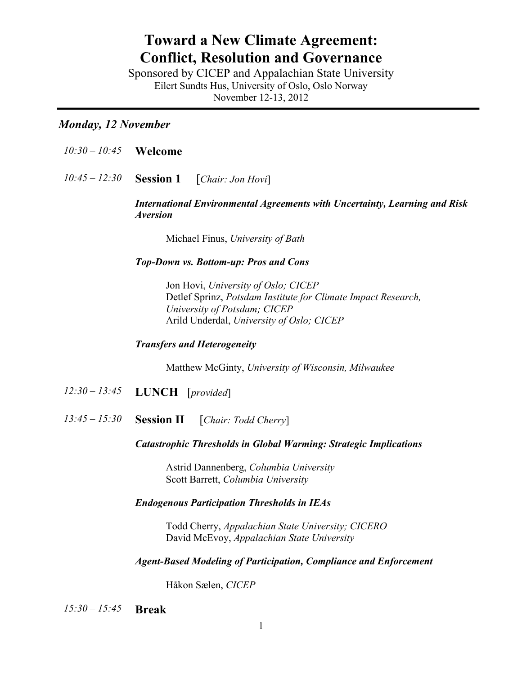# **Toward a New Climate Agreement: Conflict, Resolution and Governance**

Sponsored by CICEP and Appalachian State University Eilert Sundts Hus, University of Oslo, Oslo Norway November 12-13, 2012

# *Monday, 12 November*

- *10:30 – 10:45* **Welcome**
- *10:45 – 12:30* **Session 1** [*Chair: Jon Hovi*]

*International Environmental Agreements with Uncertainty, Learning and Risk Aversion*

Michael Finus, *University of Bath*

# *Top-Down vs. Bottom-up: Pros and Cons*

Jon Hovi, *University of Oslo; CICEP* Detlef Sprinz, *Potsdam Institute for Climate Impact Research, University of Potsdam; CICEP* Arild Underdal, *University of Oslo; CICEP*

# *Transfers and Heterogeneity*

Matthew McGinty, *University of Wisconsin, Milwaukee*

- *12:30 – 13:45* **LUNCH** [*provided*]
- *13:45 – 15:30* **Session II** [*Chair: Todd Cherry*]

#### *Catastrophic Thresholds in Global Warming: Strategic Implications*

Astrid Dannenberg, *Columbia University* Scott Barrett, *Columbia University*

# *Endogenous Participation Thresholds in IEAs*

Todd Cherry, *Appalachian State University; CICERO* David McEvoy, *Appalachian State University*

#### *Agent-Based Modeling of Participation, Compliance and Enforcement*

Håkon Sælen, *CICEP*

 *15:30 – 15:45* **Break**